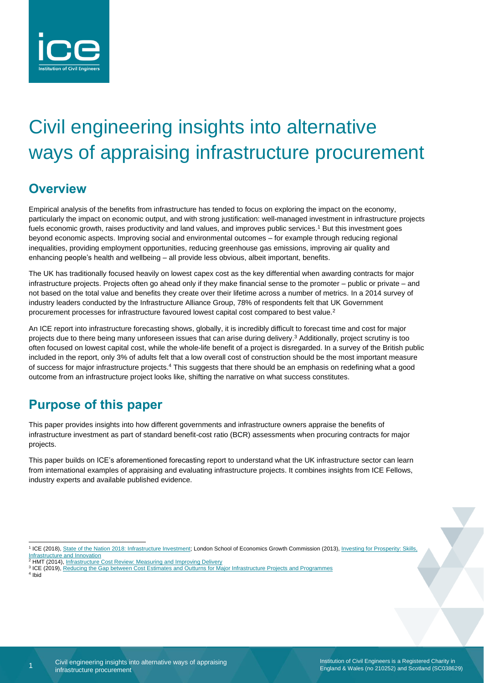

# Civil engineering insights into alternative ways of appraising infrastructure procurement

# **Overview**

Empirical analysis of the benefits from infrastructure has tended to focus on exploring the impact on the economy, particularly the impact on economic output, and with strong justification: well-managed investment in infrastructure projects fuels economic growth, raises productivity and land values, and improves public services.<sup>1</sup> But this investment goes beyond economic aspects. Improving social and environmental outcomes – for example through reducing regional inequalities, providing employment opportunities, reducing greenhouse gas emissions, improving air quality and enhancing people's health and wellbeing – all provide less obvious, albeit important, benefits.

The UK has traditionally focused heavily on lowest capex cost as the key differential when awarding contracts for major infrastructure projects. Projects often go ahead only if they make financial sense to the promoter – public or private – and not based on the total value and benefits they create over their lifetime across a number of metrics. In a 2014 survey of industry leaders conducted by the Infrastructure Alliance Group, 78% of respondents felt that UK Government procurement processes for infrastructure favoured lowest capital cost compared to best value.<sup>2</sup>

An ICE report into infrastructure forecasting shows, globally, it is incredibly difficult to forecast time and cost for major projects due to there being many unforeseen issues that can arise during delivery.<sup>3</sup> Additionally, project scrutiny is too often focused on lowest capital cost, while the whole-life benefit of a project is disregarded. In a survey of the British public included in the report, only 3% of adults felt that a low overall cost of construction should be the most important measure of success for major infrastructure projects.<sup>4</sup> This suggests that there should be an emphasis on redefining what a good outcome from an infrastructure project looks like, shifting the narrative on what success constitutes.

# **Purpose of this paper**

This paper provides insights into how different governments and infrastructure owners appraise the benefits of infrastructure investment as part of standard benefit-cost ratio (BCR) assessments when procuring contracts for major projects.

This paper builds on ICE's aforementioned forecasting report to understand what the UK infrastructure sector can learn from international examples of appraising and evaluating infrastructure projects. It combines insights from ICE Fellows, industry experts and available published evidence.

4 Ibid

Institution of Civil Engineers is a Registered Charity in England & Wales (no 210252) and Scotland (SC038629)

<sup>&</sup>lt;sup>1</sup> ICE (2018)[, State of the Nation 2018: Infrastructure Investment;](https://www.ice.org.uk/getattachment/news-and-insight/policy/state-of-the-nation-2018-infrastructure-investment/ICE-SoN-Investment-2018.pdf.aspx) London School of Economics Growth Commission (2013), Investing for Prosperity: Skills, [Infrastructure and Innovation](http://www.lse.ac.uk/researchAndExpertise/units/growthCommission/documents/pdf/GCReportSummary.pdf)

<sup>2</sup> HMT (2014)[, Infrastructure Cost Review: Measuring and Improving Delivery](https://assets.publishing.service.gov.uk/government/uploads/system/uploads/attachment_data/file/330380/PU1684_-_Infrastructure_cost_review.pdf)

<sup>&</sup>lt;sup>3</sup> ICE (2019)[, Reducing the Gap between Cost Estimates and Outturns for Major Infrastructure Projects and Programmes](https://www.ice.org.uk/ICEDevelopmentWebPortal/media/Documents/Media/Policy/ICE-Report-Reducing-the-gap-between-cost-estimates-and-outturns-for-major-infrastructure-projects-and-programmes.pdf)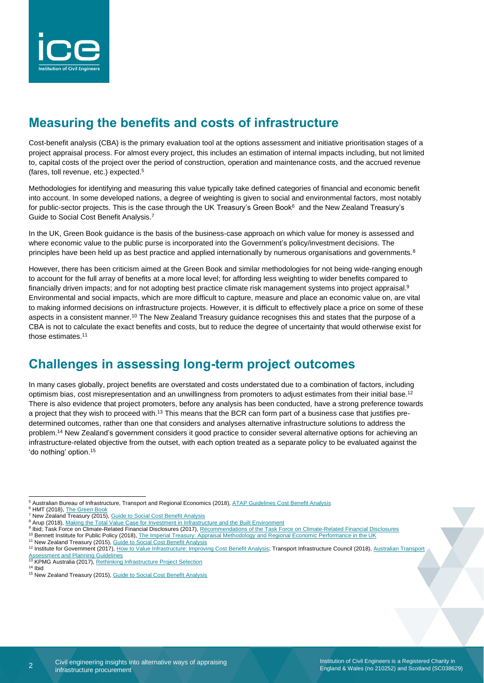

# **Measuring the benefits and costs of infrastructure**

Cost-benefit analysis (CBA) is the primary evaluation tool at the options assessment and initiative prioritisation stages of a project appraisal process. For almost every project, this includes an estimation of internal impacts including, but not limited to, capital costs of the project over the period of construction, operation and maintenance costs, and the accrued revenue (fares, toll revenue, etc.) expected. 5

Methodologies for identifying and measuring this value typically take defined categories of financial and economic benefit into account. In some developed nations, a degree of weighting is given to social and environmental factors, most notably for public-sector projects. This is the case through the UK Treasury's Green Book<sup>6</sup> and the New Zealand Treasury's Guide to Social Cost Benefit Analysis.<sup>7</sup>

In the UK, Green Book guidance is the basis of the business-case approach on which value for money is assessed and where economic value to the public purse is incorporated into the Government's policy/investment decisions. The principles have been held up as best practice and applied internationally by numerous organisations and governments.<sup>8</sup>

However, there has been criticism aimed at the Green Book and similar methodologies for not being wide-ranging enough to account for the full array of benefits at a more local level; for affording less weighting to wider benefits compared to financially driven impacts; and for not adopting best practice climate risk management systems into project appraisal.<sup>9</sup> Environmental and social impacts, which are more difficult to capture, measure and place an economic value on, are vital to making informed decisions on infrastructure projects. However, it is difficult to effectively place a price on some of these aspects in a consistent manner.<sup>10</sup> The New Zealand Treasury guidance recognises this and states that the purpose of a CBA is not to calculate the exact benefits and costs, but to reduce the degree of uncertainty that would otherwise exist for those estimates.<sup>11</sup>

## **Challenges in assessing long-term project outcomes**

In many cases globally, project benefits are overstated and costs understated due to a combination of factors, including optimism bias, cost misrepresentation and an unwillingness from promoters to adjust estimates from their initial base.<sup>12</sup> There is also evidence that project promoters, before any analysis has been conducted, have a strong preference towards a project that they wish to proceed with.<sup>13</sup> This means that the BCR can form part of a business case that justifies predetermined outcomes, rather than one that considers and analyses alternative infrastructure solutions to address the problem.<sup>14</sup> New Zealand's government considers it good practice to consider several alternative options for achieving an infrastructure-related objective from the outset, with each option treated as a separate policy to be evaluated against the 'do nothing' option.<sup>15</sup>

 $\overline{2}$ 

<sup>5</sup> Australian Bureau of Infrastructure, Transport and Regional Economics (2018), ATAP Guidelines [Cost Benefit Analysis](https://www.atap.gov.au/sites/default/files/t2_cost_benefit_analysis.pdf)

<sup>&</sup>lt;sup>6</sup> HMT (2018), The Green Boo

<sup>&</sup>lt;sup>7</sup> New Zealand Treasury (2015), [Guide to Social Cost Benefit Analysis](https://treasury.govt.nz/sites/default/files/2015-07/cba-guide-jul15.pdf)

<sup>&</sup>lt;sup>8</sup> Arup (2018), [Making the Total Value Case for Investment in Infrastructure and the Built Environment](https://www.arup.com/perspectives/publications/research/section/making-the-total-value-case-for-investment-in-infrastructure-and-the-built-environment)

<sup>9</sup> Ibid; Task Force on Climate-Related Financial Disclosures (2017)[, Recommendations of the Task Force on Climate-Related Financial Dis](https://www.fsb-tcfd.org/wp-content/uploads/2017/06/FINAL-2017-TCFD-Report-11052018.pdf)closures

<sup>&</sup>lt;sup>10</sup> Bennett Institute for Public Policy (2018), [The Imperial Treasury: Appraisal Methodology and Regional Economic Performance in the UK](https://www.bennettinstitute.cam.ac.uk/media/uploads/files/The_Imperial_Treasury_appraisal_methodology_and_regional_economic_performance_in_the_UK.pdf) <sup>11</sup> New Zealand Treasury (2015)[, Guide to Social Cost Benefit Analysis](https://treasury.govt.nz/sites/default/files/2015-07/cba-guide-jul15.pdf)

<sup>&</sup>lt;sup>12</sup> Institute for Government (2017)[, How to Value Infrastructure: Improving Cost Benefit Analysis;](https://www.instituteforgovernment.org.uk/sites/default/files/publications/IfG%20Report%20CBA%20infrastructure%20web%20final1.pdf) Transport Infrastructure Council (2018), Australian Transport [Assessment and Planning Guidelines](https://www.atap.gov.au/sites/default/files/o2-optimsim-bias.pdf)<br><sup>13</sup> KPMG Australia (2017), <u>Rethinking Infrastructure Project Selection</u>

 $14$  Ibid

<sup>15</sup> New Zealand Treasury (2015)[, Guide to Social Cost Benefit Analysis](https://treasury.govt.nz/sites/default/files/2015-07/cba-guide-jul15.pdf)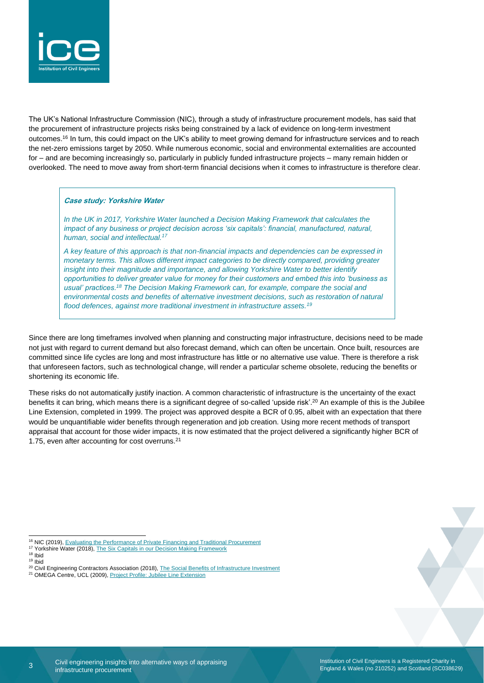

The UK's National Infrastructure Commission (NIC), through a study of infrastructure procurement models, has said that the procurement of infrastructure projects risks being constrained by a lack of evidence on long-term investment outcomes.<sup>16</sup> In turn, this could impact on the UK's ability to meet growing demand for infrastructure services and to reach the net-zero emissions target by 2050. While numerous economic, social and environmental externalities are accounted for – and are becoming increasingly so, particularly in publicly funded infrastructure projects – many remain hidden or overlooked. The need to move away from short-term financial decisions when it comes to infrastructure is therefore clear.

### **Case study: Yorkshire Water**

*In the UK in 2017, Yorkshire Water launched a Decision Making Framework that calculates the impact of any business or project decision across 'six capitals': financial, manufactured, natural, human, social and intellectual.<sup>17</sup>*

*A key feature of this approach is that non-financial impacts and dependencies can be expressed in monetary terms. This allows different impact categories to be directly compared, providing greater insight into their magnitude and importance, and allowing Yorkshire Water to better identify opportunities to deliver greater value for money for their customers and embed this into 'business as usual' practices.<sup>18</sup> The Decision Making Framework can, for example, compare the social and environmental costs and benefits of alternative investment decisions, such as restoration of natural flood defences, against more traditional investment in infrastructure assets.<sup>19</sup>*

Since there are long timeframes involved when planning and constructing major infrastructure, decisions need to be made not just with regard to current demand but also forecast demand, which can often be uncertain. Once built, resources are committed since life cycles are long and most infrastructure has little or no alternative use value. There is therefore a risk that unforeseen factors, such as technological change, will render a particular scheme obsolete, reducing the benefits or shortening its economic life.

These risks do not automatically justify inaction. A common characteristic of infrastructure is the uncertainty of the exact benefits it can bring, which means there is a significant degree of so-called 'upside risk'.<sup>20</sup> An example of this is the Jubilee Line Extension, completed in 1999. The project was approved despite a BCR of 0.95, albeit with an expectation that there would be unquantifiable wider benefits through regeneration and job creation. Using more recent methods of transport appraisal that account for those wider impacts, it is now estimated that the project delivered a significantly higher BCR of 1.75, even after accounting for cost overruns.<sup>21</sup>

<sup>&</sup>lt;sup>16</sup> NIC (2019)[, Evaluating the Performance of Private Financing and Traditional Procurement](https://www.nic.org.uk/wp-content/uploads/Evaluating-the-Performance-of-Private-Financing-and-Traditional-Procurement-July-2019.pdf)

<sup>17</sup> Yorkshire Water (2018)[, The Six Capitals in our Decision Making Framework](https://www.yorkshirewater.com/media/1766/yorkshire_water_dmf_website_case_study.pdf)

<sup>18</sup> Ibid <sup>19</sup> Ibid

<sup>&</sup>lt;sup>20</sup> Civil Engineering Contractors Association (2018), [The Social Benefits of Infrastructure Investment](https://www.ceca.co.uk/wp-content/uploads/2018/12/Cebr-CECA-report-The-Social-Benefits-of-Infrastructure-Investment-FINAL-December-2018-compressed-2.pdf)

<sup>21</sup> OMEGA Centre, UCL (2009)[, Project Profile: Jubilee Line Extension](http://www.omegacentre.bartlett.ucl.ac.uk/wp-content/uploads/2014/12/UK_JLE_PROFILE.pdf)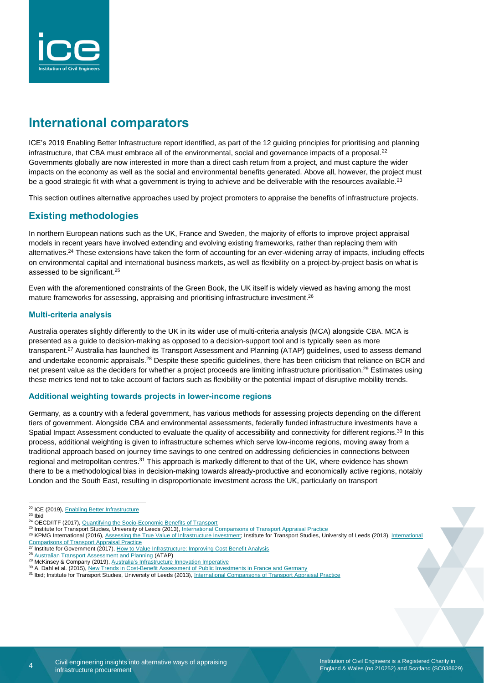

# **International comparators**

ICE's 2019 Enabling Better Infrastructure report identified, as part of the 12 guiding principles for prioritising and planning infrastructure, that CBA must embrace all of the environmental, social and governance impacts of a proposal.<sup>22</sup> Governments globally are now interested in more than a direct cash return from a project, and must capture the wider impacts on the economy as well as the social and environmental benefits generated. Above all, however, the project must be a good strategic fit with what a government is trying to achieve and be deliverable with the resources available.<sup>23</sup>

This section outlines alternative approaches used by project promoters to appraise the benefits of infrastructure projects.

### **Existing methodologies**

In northern European nations such as the UK, France and Sweden, the majority of efforts to improve project appraisal models in recent years have involved extending and evolving existing frameworks, rather than replacing them with alternatives.<sup>24</sup> These extensions have taken the form of accounting for an ever-widening array of impacts, including effects on environmental capital and international business markets, as well as flexibility on a project-by-project basis on what is assessed to be significant.<sup>25</sup>

Even with the aforementioned constraints of the Green Book, the UK itself is widely viewed as having among the most mature frameworks for assessing, appraising and prioritising infrastructure investment.<sup>26</sup>

### **Multi-criteria analysis**

Australia operates slightly differently to the UK in its wider use of multi-criteria analysis (MCA) alongside CBA. MCA is presented as a guide to decision-making as opposed to a decision-support tool and is typically seen as more transparent.<sup>27</sup> Australia has launched its Transport Assessment and Planning (ATAP) guidelines, used to assess demand and undertake economic appraisals.<sup>28</sup> Despite these specific quidelines, there has been criticism that reliance on BCR and net present value as the deciders for whether a project proceeds are limiting infrastructure prioritisation.<sup>29</sup> Estimates using these metrics tend not to take account of factors such as flexibility or the potential impact of disruptive mobility trends.

### **Additional weighting towards projects in lower-income regions**

Germany, as a country with a federal government, has various methods for assessing projects depending on the different tiers of government. Alongside CBA and environmental assessments, federally funded infrastructure investments have a Spatial Impact Assessment conducted to evaluate the quality of accessibility and connectivity for different regions.<sup>30</sup> In this process, additional weighting is given to infrastructure schemes which serve low-income regions, moving away from a traditional approach based on journey time savings to one centred on addressing deficiencies in connections between regional and metropolitan centres.<sup>31</sup> This approach is markedly different to that of the UK, where evidence has shown there to be a methodological bias in decision-making towards already-productive and economically active regions, notably London and the South East, resulting in disproportionate investment across the UK, particularly on transport

4

- 26 KPMG International (2016)[, Assessing the True Value of Infrastructure Investment;](https://assets.kpmg/content/dam/kpmg/pdf/2016/07/colombia-bt3-4inf-true-value-of-Infraestrucute-investment.pdf) Institute for Transport Studies, University of Leeds (2013), International [Comparisons of Transport Appraisal Practice](https://assets.publishing.service.gov.uk/government/uploads/system/uploads/attachment_data/file/209530/final-overview-report.pdf)
- Institute for Government (2017)[, How to Value Infrastructure: Improving Cost Benefit Analysis](https://www.instituteforgovernment.org.uk/sites/default/files/publications/IfG%20Report%20CBA%20infrastructure%20web%20final1.pdf)

<sup>&</sup>lt;sup>22</sup> ICE (2019), **Enabling Better Infrastructure** 

 $23$  Ibid

<sup>24</sup> OECD/ITF (2017), [Quantifying the Socio-Economic Benefits of Transport](https://www.oecd-ilibrary.org/docserver/9789282108093-en.pdf?expires=1576232890&id=id&accname=ocid75017729&checksum=4E4C2763B794EB5623F73B6F63FC5C08)

<sup>25</sup> Institute for Transport Studies, University of Leeds (2013)[, International Comparisons of Transport Appraisal Practice](https://assets.publishing.service.gov.uk/government/uploads/system/uploads/attachment_data/file/209530/final-overview-report.pdf)

<sup>28</sup> [Australian Transport Assessment and Planning](https://www.atap.gov.au/) (ATAP) 29 McKinsey & Company (2019)[, Australia's Infrastructure Innovation Imperative](https://www.mckinsey.com/~/media/McKinsey/Featured%20Insights/Asia%20Pacific/Australias%20infrastructure%20innovation%20imperative/Australias-infrastructure-innovation-imperative-final.ashx)

<sup>30</sup> A. Dahl et al. (2015)[, New Trends in Cost-Benefit Assessment of Public Investments in France and Germany](https://transp-or.epfl.ch/heart/2015/abstracts/hEART_2015_submission_105.pdf)

<sup>31</sup> Ibid; Institute for Transport Studies, University of Leeds (2013), [International Comparisons of Transport Appraisal](https://assets.publishing.service.gov.uk/government/uploads/system/uploads/attachment_data/file/209530/final-overview-report.pdf) Practice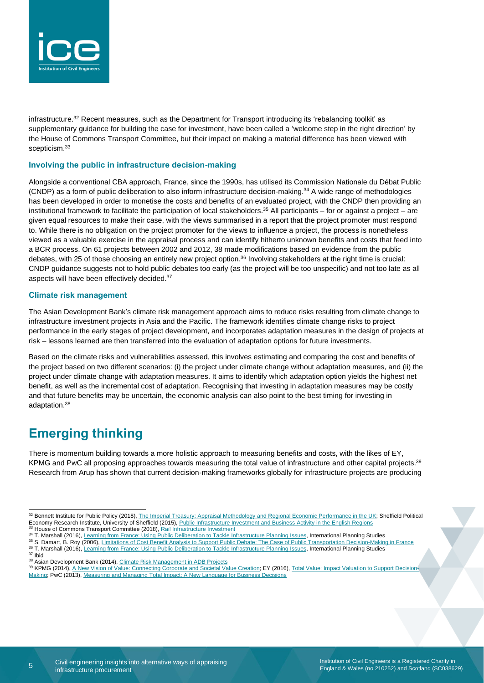

infrastructure.<sup>32</sup> Recent measures, such as the Department for Transport introducing its 'rebalancing toolkit' as supplementary guidance for building the case for investment, have been called a 'welcome step in the right direction' by the House of Commons Transport Committee, but their impact on making a material difference has been viewed with scepticism.<sup>33</sup>

### **Involving the public in infrastructure decision-making**

Alongside a conventional CBA approach, France, since the 1990s, has utilised its Commission Nationale du Débat Public (CNDP) as a form of public deliberation to also inform infrastructure decision-making.<sup>34</sup> A wide range of methodologies has been developed in order to monetise the costs and benefits of an evaluated project, with the CNDP then providing an institutional framework to facilitate the participation of local stakeholders.<sup>35</sup> All participants – for or against a project – are given equal resources to make their case, with the views summarised in a report that the project promoter must respond to. While there is no obligation on the project promoter for the views to influence a project, the process is nonetheless viewed as a valuable exercise in the appraisal process and can identify hitherto unknown benefits and costs that feed into a BCR process. On 61 projects between 2002 and 2012, 38 made modifications based on evidence from the public debates, with 25 of those choosing an entirely new project option.<sup>36</sup> Involving stakeholders at the right time is crucial: CNDP guidance suggests not to hold public debates too early (as the project will be too unspecific) and not too late as all aspects will have been effectively decided.<sup>37</sup>

#### **Climate risk management**

The Asian Development Bank's climate risk management approach aims to reduce risks resulting from climate change to infrastructure investment projects in Asia and the Pacific. The framework identifies climate change risks to project performance in the early stages of project development, and incorporates adaptation measures in the design of projects at risk – lessons learned are then transferred into the evaluation of adaptation options for future investments.

Based on the climate risks and vulnerabilities assessed, this involves estimating and comparing the cost and benefits of the project based on two different scenarios: (i) the project under climate change without adaptation measures, and (ii) the project under climate change with adaptation measures. It aims to identify which adaptation option yields the highest net benefit, as well as the incremental cost of adaptation. Recognising that investing in adaptation measures may be costly and that future benefits may be uncertain, the economic analysis can also point to the best timing for investing in adaptation.<sup>38</sup>

### **Emerging thinking**

There is momentum building towards a more holistic approach to measuring benefits and costs, with the likes of EY, KPMG and PwC all proposing approaches towards measuring the total value of infrastructure and other capital projects.<sup>39</sup> Research from Arup has shown that current decision-making frameworks globally for infrastructure projects are producing

35 S. Damart, B. Roy (2006), [Limitations of Cost Benefit Analysis to Support Public Debate: The Case of Public Transportation Decision-Making in France](https://hal.archives-ouvertes.fr/hal-00948675/document)

<sup>36</sup> T. Marshall (2016), [Learning from France: Using Public Deliberation to Tackle Infrastructure Planning Issues,](https://www.ice.org.uk/ICEDevelopmentWebPortal/media/Documents/Media/Policy/nna-submissions/Learning-from-France-using-public-deliberation-to-tackle-infrastructure-planning-issues.pdf?ext=.pdf) International Planning Studies <sup>37</sup> Ibid

<sup>32</sup> Bennett Institute for Public Policy (2018), [The Imperial Treasury: Appraisal Methodology and Regional Economic Performance in the UK;](https://www.bennettinstitute.cam.ac.uk/media/uploads/files/The_Imperial_Treasury_appraisal_methodology_and_regional_economic_performance_in_the_UK.pdf) Sheffield Political Economy Research Institute, University of Sheffield (2015), Public Infrastructure Investment and [Business Activity in the English Regions](http://speri.dept.shef.ac.uk/wp-content/uploads/2018/11/SPERI-Brief-No.15-Public-infrastructure-investment-business-activity-in-the-English-regions.pdf) <sup>3</sup> House of Commons Transport Committee (2018), [Rail Infrastructure Investment](https://publications.parliament.uk/pa/cm201719/cmselect/cmtrans/582/58206.htm#_idTextAnchor012)

<sup>34</sup> T. Marshall (2016), [Learning from France: Using Public Deliberation to](https://www.ice.org.uk/ICEDevelopmentWebPortal/media/Documents/Media/Policy/nna-submissions/Learning-from-France-using-public-deliberation-to-tackle-infrastructure-planning-issues.pdf?ext=.pdf) Tackle Infrastructure Planning Issues, International Planning Studies

<sup>38</sup> Asian Development Bank (2014), [Climate Risk Management in ADB Projects](https://www.adb.org/sites/default/files/publication/148796/climate-risk-management-adb-projects.pdf)

<sup>39</sup> KPMG (2014), [A New Vision of Value: Connecting Corporate and Societal Value Creation;](https://assets.kpmg/content/dam/kpmg/pdf/2014/10/a-new-vision-of-value-v1.pdf) EY (2016)[, Total Value: Impact Valuation to Support Decision-](https://www.ey.com/Publication/vwLUAssets/ey-total-value-impact-valuation-to-support-decision-making/$FILE/ey-total-value-impact-valuation-to-support-decision-making.pdf)[Making;](https://www.ey.com/Publication/vwLUAssets/ey-total-value-impact-valuation-to-support-decision-making/$FILE/ey-total-value-impact-valuation-to-support-decision-making.pdf) PwC (2013)[, Measuring and Managing Total Impact: A New Language for Business Decisions](https://www.pwc.com/gx/en/sustainability/publications/total-impact-measurement-management/assets/pwc-timm-report.pdf)